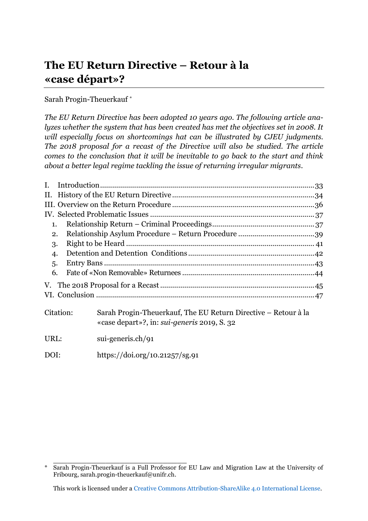# **The EU Return Directive – Retour à la «case départ»?**

### Sarah Progin-Theuerkauf\*

*The EU Return Directive has been adopted 10 years ago. The following article analyzes whether the system that has been created has met the objectives set in 2008. It will especially focus on shortcomings hat can be illustrated by CJEU judgments. The 2018 proposal for a recast of the Directive will also be studied. The article comes to the conclusion that it will be inevitable to go back to the start and think about a better legal regime tackling the issue of returning irregular migrants.*

| L.        |  |                                                                                                                      |  |
|-----------|--|----------------------------------------------------------------------------------------------------------------------|--|
|           |  |                                                                                                                      |  |
|           |  |                                                                                                                      |  |
|           |  |                                                                                                                      |  |
| 1.        |  |                                                                                                                      |  |
| 2.<br>3.  |  |                                                                                                                      |  |
|           |  |                                                                                                                      |  |
| 4.        |  |                                                                                                                      |  |
| 5.        |  |                                                                                                                      |  |
| 6.        |  |                                                                                                                      |  |
|           |  |                                                                                                                      |  |
|           |  |                                                                                                                      |  |
| Citation: |  | Sarah Progin-Theuerkauf, The EU Return Directive – Retour à la<br>«case depart»?, in: <i>sui-generis</i> 2019, S. 32 |  |
| URL:      |  | sui-generis.ch/91                                                                                                    |  |
| DOI:      |  | https://doi.org/10.21257/sg.91                                                                                       |  |

\_\_\_\_\_\_\_\_\_\_\_\_\_\_\_\_\_\_\_\_\_\_\_\_\_\_\_\_ \* Sarah Progin-Theuerkauf is a Full Professor for EU Law and Migration Law at the University of Fribourg, [sarah.progin-theuerkauf@unifr.ch.](mailto:sarah.progin-theuerkauf@unifr.ch)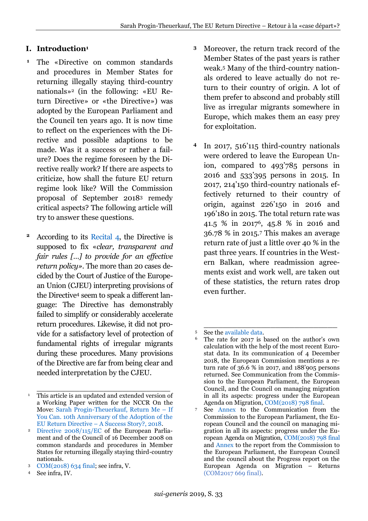## <span id="page-1-0"></span>**I. Introduction<sup>1</sup>**

- The «Directive on common standards and procedures in Member States for returning illegally staying third-country nationals»<sup>2</sup> (in the following: «EU Return Directive» or «the Directive») was adopted by the European Parliament and the Council ten years ago. It is now time to reflect on the experiences with the Directive and possible adaptions to be made. Was it a success or rather a failure? Does the regime foreseen by the Directive really work? If there are aspects to criticize, how shall the future EU return regime look like? Will the Commission proposal of September 2018<sup>3</sup> remedy critical aspects? The following article will try to answer these questions. **1**
- According to its [Recital 4,](https://perma.cc/N8XG-EX7G) the Directive is supposed to fix «*clear, transparent and fair rules […] to provide for an effective return policy»*. The more than 20 cases decided by the Court of Justice of the European Union (CJEU) interpreting provisions of the Directive<sup>4</sup> seem to speak a different language: The Directive has demonstrably failed to simplify or considerably accelerate return procedures. Likewise, it did not provide for a satisfactory level of protection of fundamental rights of irregular migrants during these procedures. Many provisions of the Directive are far from being clear and needed interpretation by the CJEU. **2**
- Moreover, the return track record of the Member States of the past years is rather weak.<sup>5</sup> Many of the third-country nationals ordered to leave actually do not return to their country of origin. A lot of them prefer to abscond and probably still live as irregular migrants somewhere in Europe, which makes them an easy prey for exploitation. **3**
- In 2017, 516'115 third-country nationals were ordered to leave the European Union, compared to 493'785 persons in 2016 and 533'395 persons in 2015. In 2017, 214'150 third-country nationals effectively returned to their country of origin, against 226'150 in 2016 and 196'180 in 2015. The total return rate was 41.5 % in 20176, 45.8 % in 2016 and 36.78 % in 2015.<sup>7</sup> This makes an average return rate of just a little over 40 % in the past three years. If countries in the Western Balkan, where readmission agreements exist and work well, are taken out of these statistics, the return rates drop even further. **4**

\_\_\_\_\_\_\_\_\_\_\_\_\_\_\_\_\_\_\_\_\_\_\_\_\_\_\_\_ <sup>1</sup> This article is an updated and extended version of a Working Paper written for the NCCR On the Move: [Sarah Progin-Theuerkauf, Return Me](https://perma.cc/RXD9-3TQ3) – If [You Can. 10th Anniversary of the Adoption of the](https://perma.cc/RXD9-3TQ3)  EU Return Directive – [A Success Story?, 2018.](https://perma.cc/RXD9-3TQ3)

<sup>2</sup> [Directive 2008/115/EC](https://perma.cc/HKE5-978P) of the European Parliament and of the Council of 16 December 2008 on common standards and procedures in Member States for returning illegally staying third-country nationals.

<sup>3</sup> [COM\(2018\) 634 final;](https://perma.cc/LA5Y-7WPX) see infra, V.

<sup>4</sup> See infra, IV.

\_\_\_\_\_\_\_\_\_\_\_\_\_\_\_\_\_\_\_\_\_\_\_\_\_\_\_\_ <sup>5</sup> See the [available data.](https://perma.cc/ZRQ8-UM4A)

The rate for 2017 is based on the author's own calculation with the help of the most recent Eurostat data. In its communication of 4 December 2018, the European Commission mentions a return rate of 36.6 % in 2017, and 188'905 persons returned. See Communication from the Commission to the European Parliament, the European Council, and the Council on managing migration in all its aspects: progress under the European Agenda on Migration, [COM\(2018\) 798 final.](https://perma.cc/7RRE-RJ7A)

<sup>7</sup> See [Annex](https://perma.cc/VX3V-WMF7) to the Communication from the Commission to the European Parliament, the European Council and the council on managing migration in all its aspects: progress under the European Agenda on Migration, [COM\(2018\) 798 final](https://perma.cc/7RRE-RJ7A) and [Annex](https://perma.cc/SK4J-CZUG) to the report from the Commission to the European Parliament, the European Council and the council about the Progress report on the European Agenda on Migration – Returns [\(COM2017 669 final\)](https://perma.cc/BMA9-SVRC).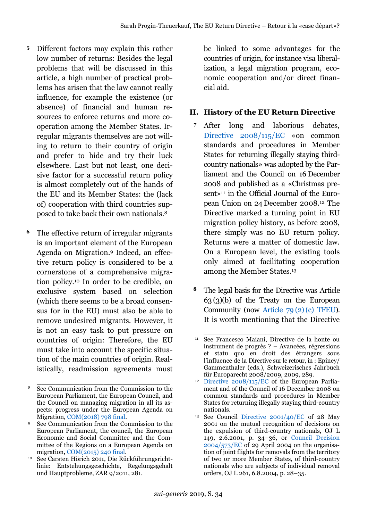- Different factors may explain this rather low number of returns: Besides the legal problems that will be discussed in this article, a high number of practical problems has arisen that the law cannot really influence, for example the existence (or absence) of financial and human resources to enforce returns and more cooperation among the Member States. Irregular migrants themselves are not willing to return to their country of origin and prefer to hide and try their luck elsewhere. Last but not least, one decisive factor for a successful return policy is almost completely out of the hands of the EU and its Member States: the (lack of) cooperation with third countries supposed to take back their own nationals.<sup>8</sup> **5**
- The effective return of irregular migrants is an important element of the European Agenda on Migration.<sup>9</sup> Indeed, an effective return policy is considered to be a cornerstone of a comprehensive migration policy.<sup>10</sup> In order to be credible, an exclusive system based on selection (which there seems to be a broad consensus for in the EU) must also be able to remove undesired migrants. However, it is not an easy task to put pressure on countries of origin: Therefore, the EU must take into account the specific situation of the main countries of origin. Realistically, readmission agreements must **6**

be linked to some advantages for the countries of origin, for instance visa liberalization, a legal migration program, economic cooperation and/or direct financial aid.

## <span id="page-2-0"></span>**II. History of the EU Return Directive**

- After long and laborious debates, [Directive 2008/115/EC](https://perma.cc/N8XG-EX7G) «on common standards and procedures in Member States for returning illegally staying thirdcountry nationals» was adopted by the Parliament and the Council on 16 December 2008 and published as a «Christmas present»<sup>11</sup> in the Official Journal of the European Union on 24 December 2008.<sup>12</sup> The Directive marked a turning point in EU migration policy history, as before 2008, there simply was no EU return policy. Returns were a matter of domestic law. On a European level, the existing tools only aimed at facilitating cooperation among the Member States.<sup>13</sup> **7**
- The legal basis for the Directive was Article 63 (3)(b) of the Treaty on the European Community (now Article 79 [\(2\)\(c\) TFEU\)](https://perma.cc/NCG5-DZLY). It is worth mentioning that the Directive **8**

\_\_\_\_\_\_\_\_\_\_\_\_\_\_\_\_\_\_\_\_\_\_\_\_\_\_\_\_ <sup>8</sup> See Communication from the Commission to the European Parliament, the European Council, and the Council on managing migration in all its aspects: progress under the European Agenda on Migration, [COM\(2018\) 798 final.](https://perma.cc/7RRE-RJ7A)

<sup>9</sup> See Communication from the Commission to the European Parliament, the council, the European Economic and Social Committee and the Committee of the Regions on a European Agenda on migration, [COM\(2015\) 240 final.](https://perma.cc/MRQ4-ZHXH)

<sup>10</sup> See Carsten Hörich 2011, Die Rückführungsrichtlinie: Entstehungsgeschichte, Regelungsgehalt und Hauptprobleme, ZAR 9/2011, 281.

\_\_\_\_\_\_\_\_\_\_\_\_\_\_\_\_\_\_\_\_\_\_\_\_\_\_\_\_ <sup>11</sup> See Francesco Maiani, Directive de la honte ou instrument de progrès ? – Avancées, régressions et statu quo en droit des étrangers sous l'influence de la Directive sur le retour, in : Epiney/ Gammenthaler (eds.), Schweizerisches Jahrbuch für Europarecht 2008/2009, 2009, 289.

<sup>12</sup> [Directive 2008/115/EC](https://perma.cc/HKE5-978P) of the European Parliament and of the Council of 16 December 2008 on common standards and procedures in Member States for returning illegally staying third-country nationals.

<sup>13</sup> See Council [Directive 2001/40/EC](https://perma.cc/Q3XU-HXNR) of 28 May 2001 on the mutual recognition of decisions on the expulsion of third-country nationals, OJ L 149, 2.6.2001, p. 34–36, or [Council Decision](https://perma.cc/948S-NCK7)  [2004/573/EC](https://perma.cc/948S-NCK7) of 29 April 2004 on the organisation of joint flights for removals from the territory of two or more Member States, of third-country nationals who are subjects of individual removal orders, OJ L 261, 6.8.2004, p. 28–35.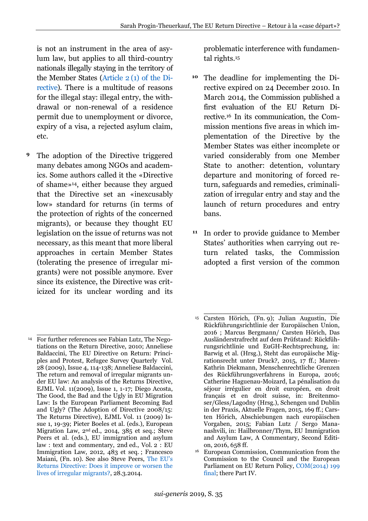is not an instrument in the area of asylum law, but applies to all third-country nationals illegally staying in the territory of the Member States (Article 2 [\(1\) of the Di](https://perma.cc/95E8-DYVD)[rective\)](https://perma.cc/95E8-DYVD). There is a multitude of reasons for the illegal stay: illegal entry, the withdrawal or non-renewal of a residence permit due to unemployment or divorce, expiry of a visa, a rejected asylum claim, etc.

The adoption of the Directive triggered many debates among NGOs and academics. Some authors called it the «Directive of shame»14, either because they argued that the Directive set an «inexcusably low» standard for returns (in terms of the protection of rights of the concerned migrants), or because they thought EU legislation on the issue of returns was not necessary, as this meant that more liberal approaches in certain Member States (tolerating the presence of irregular migrants) were not possible anymore. Ever since its existence, the Directive was criticized for its unclear wording and its **9**

\_\_\_\_\_\_\_\_\_\_\_\_\_\_\_\_\_\_\_\_\_\_\_\_\_\_\_\_

problematic interference with fundamental rights.<sup>15</sup>

- <sup>10</sup> The deadline for implementing the Directive expired on 24 December 2010. In March 2014, the Commission published a first evaluation of the EU Return Directive.<sup>16</sup> In its communication, the Commission mentions five areas in which implementation of the Directive by the Member States was either incomplete or varied considerably from one Member State to another: detention, voluntary departure and monitoring of forced return, safeguards and remedies, criminalization of irregular entry and stay and the launch of return procedures and entry bans.
- <sup>11</sup> In order to provide guidance to Member States' authorities when carrying out return related tasks, the Commission adopted a first version of the common

<sup>14</sup> For further references see Fabian Lutz, The Negotiations on the Return Directive, 2010; Anneliese Baldaccini, The EU Directive on Return: Principles and Protest, Refugee Survey Quarterly Vol. 28 (2009), Issue 4, 114-138; Anneliese Baldaccini, The return and removal of irregular migrants under EU law: An analysis of the Returns Directive, EJML Vol. 11(2009), Issue 1, 1-17; Diego Acosta, The Good, the Bad and the Ugly in EU Migration Law: Is the European Parliament Becoming Bad and Ugly? (The Adoption of Directive 2008/15: The Returns Directive), EJML Vol. 11 (2009) Issue 1, 19-39; Pieter Boeles et al. (eds.), European Migration Law, 2nd ed., 2014, 385 et seq.; Steve Peers et al. (eds.), EU immigration and asylum law : text and commentary, 2nd ed., Vol. 2 : EU Immigration Law, 2012, 483 et seq. ; Francesco Maiani, (Fn. 10). See also Steve Peers, [The EU's](https://perma.cc/DHX5-37J6)  [Returns Directive: Does it improve or worsen the](https://perma.cc/DHX5-37J6)  [lives of irregular migrants?,](https://perma.cc/DHX5-37J6) 28.3.2014.

\_\_\_\_\_\_\_\_\_\_\_\_\_\_\_\_\_\_\_\_\_\_\_\_\_\_\_\_ <sup>15</sup> Carsten Hörich, (Fn. 9); Julian Augustin, Die Rückführungsrichtlinie der Europäischen Union, 2016 ; Marcus Bergmann/ Carsten Hörich, Das Ausländerstrafrecht auf dem Prüfstand: Rückführungsrichtlinie und EuGH-Rechtsprechung, in: Barwig et al. (Hrsg.), Steht das europäische Migrationsrecht unter Druck?, 2015, 17 ff.; Maren-Kathrin Diekmann, Menschenrechtliche Grenzen des Rückführungsverfahrens in Europa, 2016; Catherine Haguenau-Moizard, La pénalisation du séjour irrégulier en droit européen, en droit français et en droit suisse, in: Breitenmoser/Gless/Lagodny (Hrsg.), Schengen und Dublin in der Praxis, Aktuelle Fragen, 2015, 169 ff.; Carsten Hörich, Abschiebungen nach europäischen Vorgaben, 2015; Fabian Lutz / Sergo Mananashvili, in: Hailbronner/Thym, EU Immigration and Asylum Law, A Commentary, Second Edition, 2016, 658 ff.

<sup>16</sup> European Commission, Communication from the Commission to the Council and the European Parliament on EU Return Policy, [COM\(2014\) 199](https://perma.cc/EYN4-77A2)  [final;](https://perma.cc/EYN4-77A2) there Part IV.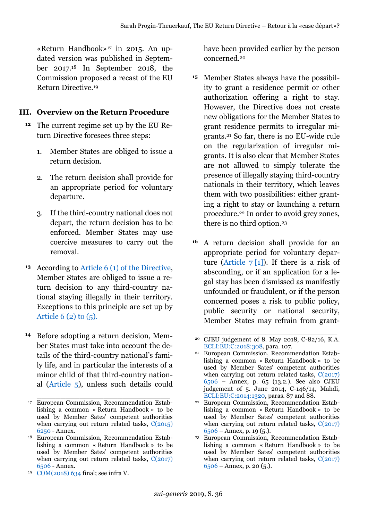«Return Handbook»<sup>17</sup> in 2015. An updated version was published in September 2017.<sup>18</sup> In September 2018, the Commission proposed a recast of the EU Return Directive.<sup>19</sup>

### <span id="page-4-0"></span>**III. Overview on the Return Procedure**

- The current regime set up by the EU Return Directive foresees three steps: **12**
	- 1. Member States are obliged to issue a return decision.
	- 2. The return decision shall provide for an appropriate period for voluntary departure.
	- 3. If the third-country national does not depart, the return decision has to be enforced. Member States may use coercive measures to carry out the removal.
- According to Article 6 [\(1\) of the Directive,](https://perma.cc/L853-V6SG) **13** Member States are obliged to issue a return decision to any third-country national staying illegally in their territory. Exceptions to this principle are set up by Article  $6(2)$  to  $(5)$ .
- <sup>14</sup> Before adopting a return decision, Member States must take into account the details of the third-country national's family life, and in particular the interests of a minor child of that third-country national [\(Article 5\)](https://perma.cc/L853-V6SG), unless such details could

have been provided earlier by the person concerned.<sup>20</sup>

- Member States always have the possibil-**15** ity to grant a residence permit or other authorization offering a right to stay. However, the Directive does not create new obligations for the Member States to grant residence permits to irregular migrants.<sup>21</sup> So far, there is no EU-wide rule on the regularization of irregular migrants. It is also clear that Member States are not allowed to simply tolerate the presence of illegally staying third-country nationals in their territory, which leaves them with two possibilities: either granting a right to stay or launching a return procedure.<sup>22</sup> In order to avoid grey zones, there is no third option.<sup>23</sup>
- A return decision shall provide for an appropriate period for voluntary departure (Article  $7\left[1\right]$ ). If there is a risk of absconding, or if an application for a legal stay has been dismissed as manifestly unfounded or fraudulent, or if the person concerned poses a risk to public policy, public security or national security, Member States may refrain from grant- **16**

\_\_\_\_\_\_\_\_\_\_\_\_\_\_\_\_\_\_\_\_\_\_\_\_\_\_\_\_ <sup>17</sup> European Commission, Recommendation Establishing a common « Return Handbook » to be used by Member Sates' competent authorities when carrying out return related tasks,  $C(2015)$ [6250](https://perma.cc/J9QA-487X) - Annex.

<sup>18</sup> European Commission, Recommendation Establishing a common « Return Handbook » to be used by Member Sates' competent authorities when carrying out return related tasks, C(2017) [6506](https://perma.cc/NB6S-7DZT) - Annex.

<sup>19</sup> [COM\(2018\) 634](https://perma.cc/LA5Y-7WPX) final; see infra V.

\_\_\_\_\_\_\_\_\_\_\_\_\_\_\_\_\_\_\_\_\_\_\_\_\_\_\_\_ <sup>20</sup> CJEU judgement of 8. May 2018, C-82/16, K.A. [ECLI:EU:C:2018:308,](https://perma.cc/PU95-2FPD) para. 107.

<sup>21</sup> European Commission, Recommendation Establishing a common « Return Handbook » to be used by Member Sates' competent authorities when carrying out return related tasks,  $C(2017)$ [6506](https://perma.cc/NB6S-7DZT) – Annex, p. 65 (13.2.). See also CJEU judgement of 5. June 2014, C-146/14, Mahdi, [ECLI:EU:C:2014:1320,](https://perma.cc/6PEF-YR4C) paras. 87 and 88.

<sup>22</sup> European Commission, Recommendation Establishing a common « Return Handbook » to be used by Member Sates' competent authorities when carrying out return related tasks,  $C(2017)$  $6506 6506 -$ Annex, p. 19 (5.).

<sup>23</sup> European Commission, Recommendation Establishing a common « Return Handbook » to be used by Member Sates' competent authorities when carrying out return related tasks, C(2017) [6506](https://perma.cc/NB6S-7DZT) – Annex, p. 20 (5.).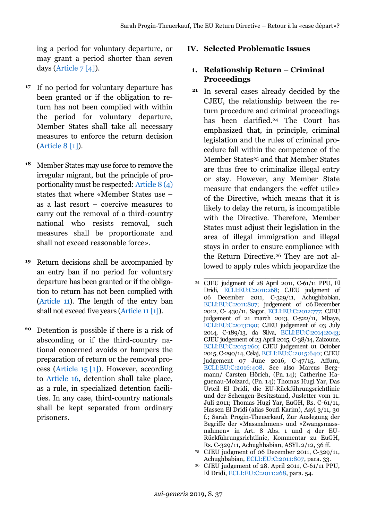ing a period for voluntary departure, or may grant a period shorter than seven days (Article  $7[4]$ ).

- <sup>17</sup> If no period for voluntary departure has been granted or if the obligation to return has not been complied with within the period for voluntary departure, Member States shall take all necessary measures to enforce the return decision [\(Article 8](https://perma.cc/9BCD-CA6K) [1]).
- Member States may use force to remove the irregular migrant, but the principle of proportionality must be respected: [Article 8](https://perma.cc/9BCD-CA6K) (4) states that where «Member States use – as a last resort – coercive measures to carry out the removal of a third-country national who resists removal, such measures shall be proportionate and shall not exceed reasonable force». **18**
- Return decisions shall be accompanied by an entry ban if no period for voluntary departure has been granted or if the obligation to return has not been complied with [\(Article 11\)](https://perma.cc/9BCD-CA6K). The length of the entry ban shall not exceed five years [\(Article 11](https://perma.cc/9BCD-CA6K) [1]). **19**
- Detention is possible if there is a risk of **20** absconding or if the third-country national concerned avoids or hampers the preparation of return or the removal process [\(Article 15](https://perma.cc/V5T3-7ELG) [1]). However, according to [Article 16,](https://perma.cc/V5T3-7ELG) detention shall take place, as a rule, in specialized detention facilities. In any case, third-country nationals shall be kept separated from ordinary prisoners.

#### <span id="page-5-0"></span>**IV. Selected Problematic Issues**

### <span id="page-5-1"></span>**1. Relationship Return – Criminal Proceedings**

- <sup>21</sup> In several cases already decided by the CJEU, the relationship between the return procedure and criminal proceedings has been clarified.<sup>24</sup> The Court has emphasized that, in principle, criminal legislation and the rules of criminal procedure fall within the competence of the Member States<sup>25</sup> and that Member States are thus free to criminalize illegal entry or stay. However, any Member State measure that endangers the «effet utile» of the Directive, which means that it is likely to delay the return, is incompatible with the Directive. Therefore, Member States must adjust their legislation in the area of illegal immigration and illegal stays in order to ensure compliance with the Return Directive.<sup>26</sup> They are not allowed to apply rules which jeopardize the
- \_\_\_\_\_\_\_\_\_\_\_\_\_\_\_\_\_\_\_\_\_\_\_\_\_\_\_\_ <sup>24</sup> CJEU judgment of 28 April 2011, C-61/11 PPU, El Dridi, [ECLI:EU:C:2011:268;](https://perma.cc/3BGN-VXV5) CJEU judgment of 06 December 2011, C-329/11, Achughbabian, [ECLI:EU:C:2011:807;](https://perma.cc/G6GM-JRN4) judgement of 06 December 2012, C- 430/11, Sagor, [ECLI:EU:C:2012:777;](https://perma.cc/P3XE-9QNL) CJEU judgement of 21 march 2013, C-522/11, Mbaye, [ECLI:EU:C:2013:190;](https://perma.cc/WX4H-Q8DC) CJEU judgement of 03 July 2014, C-189/13, da Silva, [ECLI:EU:C:2014:2043;](https://perma.cc/3M3T-2RUJ) CJEU judgement of 23 April 2015, C-38/14, Zaizoune, [ECLI:EU:C:2015:260;](https://perma.cc/P7GQ-R3YW) CJEU judgement 01 October 2015, C-290/14, Celaj, [ECLI:EU:C:2015:640;](https://perma.cc/AKM8-YC9E) CJEU judgement 07 June 2016, C-47/15, Affum, [ECLI:EU:C:2016:408.](https://perma.cc/F9EK-VUJV) See also Marcus Bergmann/ Carsten Hörich, (Fn. 14); Catherine Haguenau-Moizard, (Fn. 14); Thomas Hugi Yar, Das Urteil El Dridi, die EU-Rückführungsrichtlinie und der Schengen-Besitzstand, Jusletter vom 11. Juli 2011; Thomas Hugi Yar, EuGH, Rs. C-61/11, Hassen El Dridi (alias Soufi Karim), Asyl 3/11, 30 f.; Sarah Progin-Theuerkauf, Zur Auslegung der Begriffe der «Massnahmen» und «Zwangsmassnahmen» in Art. 8 Abs. 1 und 4 der EU-Rückführungsrichtlinie, Kommentar zu EuGH, Rs. C-329/11, Achughbabian, ASYL 2/12, 36 ff.
- <sup>25</sup> CJEU judgment of 06 December 2011, C-329/11, Achughbabian, [ECLI:EU:C:2011:807,](https://perma.cc/G6GM-JRN4) para. 33.
- <sup>26</sup> CJEU judgement of 28. April 2011, C-61/11 PPU, El Dridi, [ECLI:EU:C:2011:268,](https://perma.cc/3BGN-VXV5) para. 54.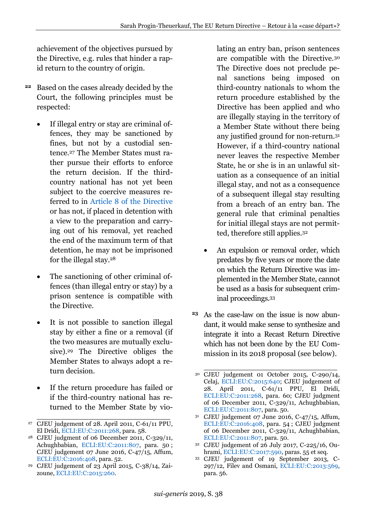achievement of the objectives pursued by the Directive, e.g. rules that hinder a rapid return to the country of origin.

- Based on the cases already decided by the **22** Court, the following principles must be respected:
	- If illegal entry or stay are criminal offences, they may be sanctioned by fines, but not by a custodial sentence.<sup>27</sup> The Member States must rather pursue their efforts to enforce the return decision. If the thirdcountry national has not yet been subject to the coercive measures referred to in [Article 8 of the Directive](https://perma.cc/L853-V6SG) or has not, if placed in detention with a view to the preparation and carrying out of his removal, yet reached the end of the maximum term of that detention, he may not be imprisoned for the illegal stay.<sup>28</sup>
	- The sanctioning of other criminal offences (than illegal entry or stay) by a prison sentence is compatible with the Directive.
	- It is not possible to sanction illegal stay by either a fine or a removal (if the two measures are mutually exclusive).<sup>29</sup> The Directive obliges the Member States to always adopt a return decision.
	- If the return procedure has failed or if the third-country national has returned to the Member State by vio-

lating an entry ban, prison sentences are compatible with the Directive.<sup>30</sup> The Directive does not preclude penal sanctions being imposed on third-country nationals to whom the return procedure established by the Directive has been applied and who are illegally staying in the territory of a Member State without there being any justified ground for non-return.<sup>31</sup> However, if a third-country national never leaves the respective Member State, he or she is in an unlawful situation as a consequence of an initial illegal stay, and not as a consequence of a subsequent illegal stay resulting from a breach of an entry ban. The general rule that criminal penalties for initial illegal stays are not permitted, therefore still applies.<sup>32</sup>

- An expulsion or removal order, which predates by five years or more the date on which the Return Directive was implemented in the Member State, cannot be used as a basis for subsequent criminal proceedings.<sup>33</sup>
- As the case-law on the issue is now abun-**23**dant, it would make sense to synthesize and integrate it into a Recast Return Directive which has not been done by the EU Commission in its 2018 proposal (see below).

- <sup>32</sup> CJEU judgement of 26 July 2017, C-225/16, Ouhrami[, ECLI:EU:C:2017:590,](https://perma.cc/X7EC-LP4V) paras. 55 et seq.
- <sup>33</sup> CJEU judgement of 19 September 2013, C-297/12, Filev and Osmani, [ECLI:EU:C:2013:569,](https://perma.cc/7UBQ-35KY) para. 56.

\_\_\_\_\_\_\_\_\_\_\_\_\_\_\_\_\_\_\_\_\_\_\_\_\_\_\_\_ <sup>27</sup> CJEU judgement of 28. April 2011, C-61/11 PPU, El Dridi[, ECLI:EU:C:2011:268,](https://perma.cc/3BGN-VXV5) para. 58.

<sup>28</sup> CJEU judgment of 06 December 2011, C-329/11, Achughbabian, [ECLI:EU:C:2011:807,](https://perma.cc/G6GM-JRN4) para. 50 ; CJEU judgement 07 June 2016, C-47/15, Affum, [ECLI:EU:C:2016:408,](https://perma.cc/F9EK-VUJV) para. 52.

<sup>29</sup> CJEU judgement of 23 April 2015, C-38/14, Zaizoune, [ECLI:EU:C:2015:260.](https://perma.cc/P7GQ-R3YW)

\_\_\_\_\_\_\_\_\_\_\_\_\_\_\_\_\_\_\_\_\_\_\_\_\_\_\_\_ <sup>30</sup> CJEU judgement 01 October 2015, C-290/14, Celaj, [ECLI:EU:C:2015:640;](https://perma.cc/AKM8-YC9E) CJEU judgement of 28. April 2011, C-61/11 PPU, El Dridi, [ECLI:EU:C:2011:268,](https://perma.cc/3BGN-VXV5) para. 60; CJEU judgment of 06 December 2011, C-329/11, Achughbabian, [ECLI:EU:C:2011:807,](https://perma.cc/G6GM-JRN4) para. 50.

<sup>31</sup> CJEU judgement 07 June 2016, C-47/15, Affum, [ECLI:EU:C:2016:408,](https://perma.cc/F9EK-VUJV) para. 54 ; CJEU judgment of 06 December 2011, C-329/11, Achughbabian, [ECLI:EU:C:2011:807,](https://perma.cc/G6GM-JRN4) para. 50.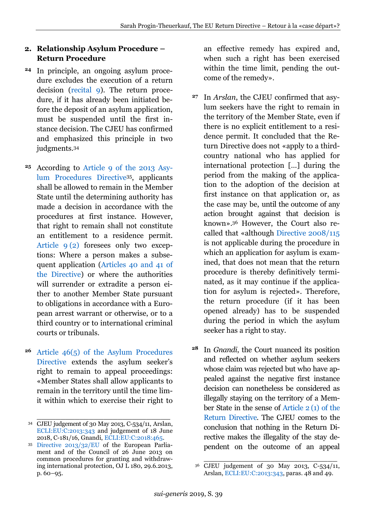## <span id="page-7-0"></span>**2. Relationship Asylum Procedure – Return Procedure**

- <sup>24</sup> In principle, an ongoing asylum procedure excludes the execution of a return decision [\(recital 9\)](https://perma.cc/N8XG-EX7G). The return procedure, if it has already been initiated before the deposit of an asylum application, must be suspended until the first instance decision. The CJEU has confirmed and emphasized this principle in two judgments.<sup>34</sup>
- According to [Article 9 of the 2013 Asy](https://perma.cc/VQ3Z-J7ZQ)[lum Procedures Directive](https://perma.cc/VQ3Z-J7ZQ)35, applicants shall be allowed to remain in the Member State until the determining authority has made a decision in accordance with the procedures at first instance. However, that right to remain shall not constitute an entitlement to a residence permit. [Article 9](https://perma.cc/VQ3Z-J7ZQ) (2) foresees only two exceptions: Where a person makes a subsequent application [\(Articles 40 and 41 of](https://perma.cc/VWA4-VV3J)  [the Directive\)](https://perma.cc/VWA4-VV3J) or where the authorities will surrender or extradite a person either to another Member State pursuant to obligations in accordance with a European arrest warrant or otherwise, or to a third country or to international criminal courts or tribunals. **25**
- [Article 46\(5\) of the Asylum Procedures](https://perma.cc/ED3S-SHAU)  **26** [Directive](https://perma.cc/ED3S-SHAU) extends the asylum seeker's right to remain to appeal proceedings: «Member States shall allow applicants to remain in the territory until the time limit within which to exercise their right to

an effective remedy has expired and, when such a right has been exercised within the time limit, pending the outcome of the remedy».

- In *Arslan*, the CJEU confirmed that asy-**27** lum seekers have the right to remain in the territory of the Member State, even if there is no explicit entitlement to a residence permit. It concluded that the Return Directive does not «apply to a thirdcountry national who has applied for international protection […] during the period from the making of the application to the adoption of the decision at first instance on that application or, as the case may be, until the outcome of any action brought against that decision is known». <sup>36</sup> However, the Court also recalled that «although [Directive 2008/115](https://perma.cc/N8XG-EX7G) is not applicable during the procedure in which an application for asylum is examined, that does not mean that the return procedure is thereby definitively terminated, as it may continue if the application for asylum is rejected». Therefore, the return procedure (if it has been opened already) has to be suspended during the period in which the asylum seeker has a right to stay.
- In *Gnandi*, the Court nuanced its position and reflected on whether asylum seekers whose claim was rejected but who have appealed against the negative first instance decision can nonetheless be considered as illegally staying on the territory of a Member State in the sense of Article 2 [\(1\) of the](https://perma.cc/QCW8-H2VR)  [Return Directive.](https://perma.cc/QCW8-H2VR) The CJEU comes to the conclusion that nothing in the Return Directive makes the illegality of the stay dependent on the outcome of an appeal **28**

\_\_\_\_\_\_\_\_\_\_\_\_\_\_\_\_\_\_\_\_\_\_\_\_\_\_\_\_ <sup>34</sup> CJEU judgement of 30 May 2013, C-534/11, Arslan, [ECLI:EU:C:2013:343](https://perma.cc/ALQ7-WZ2C) and judgement of 18 June 2018, C-181/16, Gnandi, [ECLI:EU:C:2018:465.](https://perma.cc/TQY6-VFUA)

<sup>35</sup> [Directive 2013/32/EU](https://perma.cc/2UWR-R83L) of the European Parliament and of the Council of 26 June 2013 on common procedures for granting and withdrawing international protection, OJ L 180, 29.6.2013, p. 60–95.

\_\_\_\_\_\_\_\_\_\_\_\_\_\_\_\_\_\_\_\_\_\_\_\_\_\_\_\_ <sup>36</sup> CJEU judgement of 30 May 2013, C-534/11, Arslan, [ECLI:EU:C:2013:343,](https://perma.cc/ALQ7-WZ2C) paras. 48 and 49.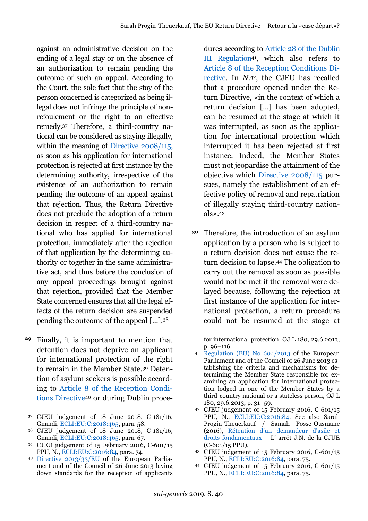against an administrative decision on the ending of a legal stay or on the absence of an authorization to remain pending the outcome of such an appeal. According to the Court, the sole fact that the stay of the person concerned is categorized as being illegal does not infringe the principle of nonrefoulement or the right to an effective remedy.<sup>37</sup> Therefore, a third-country national can be considered as staying illegally, within the meaning of [Directive 2008/115,](https://perma.cc/N8XG-EX7G) as soon as his application for international protection is rejected at first instance by the determining authority, irrespective of the existence of an authorization to remain pending the outcome of an appeal against that rejection. Thus, the Return Directive does not preclude the adoption of a return decision in respect of a third-country national who has applied for international protection, immediately after the rejection of that application by the determining authority or together in the same administrative act, and thus before the conclusion of any appeal proceedings brought against that rejection, provided that the Member State concerned ensures that all the legal effects of the return decision are suspended pending the outcome of the appeal […].<sup>38</sup>

Finally, it is important to mention that detention does not deprive an applicant for international protection of the right to remain in the Member State.<sup>39</sup> Detention of asylum seekers is possible according to [Article 8 of the Reception Condi](https://perma.cc/HUD8-SH43)[tions Directive](https://perma.cc/HUD8-SH43)<sup>40</sup> or during Dublin proce- **29**

\_\_\_\_\_\_\_\_\_\_\_\_\_\_\_\_\_\_\_\_\_\_\_\_\_\_\_\_

- <sup>39</sup> CJEU judgement of 15 February 2016, C-601/15 PPU, N., [ECLI:EU:C:2016:84,](https://perma.cc/U5YZ-TMKG) para. 74.
- <sup>40</sup> [Directive 2013/33/EU](https://perma.cc/W3U6-WEGX) of the European Parliament and of the Council of 26 June 2013 laying down standards for the reception of applicants

dures according to [Article 28 of the Dublin](https://perma.cc/9TP5-NG9J)  [III Regulation](https://perma.cc/9TP5-NG9J)41, which also refers to [Article 8 of the Reception Conditions Di](https://perma.cc/HUD8-SH43)[rective.](https://perma.cc/HUD8-SH43) In *N.*42, the CJEU has recalled that a procedure opened under the Return Directive, «in the context of which a return decision […] has been adopted, can be resumed at the stage at which it was interrupted, as soon as the application for international protection which interrupted it has been rejected at first instance. Indeed, the Member States must not jeopardise the attainment of the objective which [Directive 2008/115](https://perma.cc/N8XG-EX7G) pursues, namely the establishment of an effective policy of removal and repatriation of illegally staying third-country nationals». 43

Therefore, the introduction of an asylum **30**application by a person who is subject to a return decision does not cause the return decision to lapse.<sup>44</sup> The obligation to carry out the removal as soon as possible would not be met if the removal were delayed because, following the rejection at first instance of the application for international protection, a return procedure could not be resumed at the stage at

for international protection, OJ L 180, 29.6.2013, p. 96–116.

- <sup>43</sup> CJEU judgement of 15 February 2016, C-601/15 PPU, N., [ECLI:EU:C:2016:84,](https://perma.cc/U5YZ-TMKG) para. 75.
- <sup>44</sup> CJEU judgement of 15 February 2016, C-601/15 PPU, N., [ECLI:EU:C:2016:84,](https://perma.cc/U5YZ-TMKG) para. 75.

-

<sup>37</sup> CJEU judgement of 18 June 2018, C-181/16, Gnandi, [ECLI:EU:C:2018:465,](https://perma.cc/TQY6-VFUA) para. 58.

<sup>38</sup> CJEU judgement of 18 June 2018, C-181/16, Gnandi, [ECLI:EU:C:2018:465,](https://perma.cc/TQY6-VFUA) para. 67.

Regulation (EU) No  $604/2013$  of the European Parliament and of the Council of 26 June 2013 establishing the criteria and mechanisms for determining the Member State responsible for examining an application for international protection lodged in one of the Member States by a third-country national or a stateless person, OJ L 180, 29.6.2013, p. 31–59.

<sup>42</sup> CJEU judgement of 15 February 2016, C-601/15 PPU, N., [ECLI:EU:C:2016:84.](https://perma.cc/U5YZ-TMKG) See also Sarah Progin-Theuerkauf / Samah Posse-Ousmane (2016), [Rétention d'un demandeur d'asile et](https://perma.cc/CQU9-2R5X)  [droits fondamentaux](https://perma.cc/CQU9-2R5X) – L' arrêt J.N. de la CJUE (C-601/15 PPU),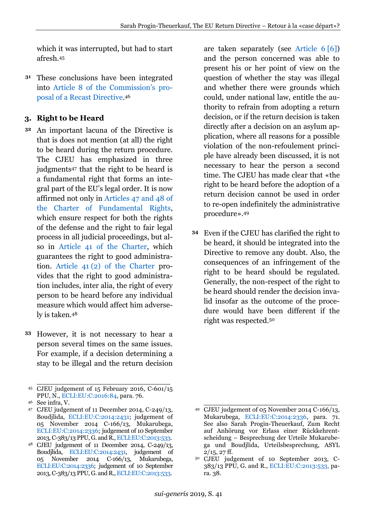which it was interrupted, but had to start afresh.<sup>45</sup>

These conclusions have been integrated into [Article 8 of the Commission's pro](https://perma.cc/97HT-9JWP)[posal of a Recast Directive.](https://perma.cc/97HT-9JWP) 46 **31**

## <span id="page-9-0"></span>**3. Right to be Heard**

- An important lacuna of the Directive is **32** that is does not mention (at all) the right to be heard during the return procedure. The CJEU has emphasized in three judgments<sup>47</sup> that the right to be heard is a fundamental right that forms an integral part of the EU's legal order. It is now affirmed not only in [Articles 47 and 48 of](https://perma.cc/AL23-UTEB)  [the Charter of Fundamental Rights,](https://perma.cc/AL23-UTEB) which ensure respect for both the rights of the defense and the right to fair legal process in all judicial proceedings, but also in [Article 41 of the Charter,](https://perma.cc/5H79-5FEQ) which guarantees the right to good administration. Article 41 [\(2\) of the Charter](https://perma.cc/5H79-5FEQ) provides that the right to good administration includes, inter alia, the right of every person to be heard before any individual measure which would affect him adversely is taken.<sup>48</sup>
- However, it is not necessary to hear a person several times on the same issues. For example, if a decision determining a stay to be illegal and the return decision **33**

<sup>46</sup> See infra, V.

are taken separately (see [Article 6](http://perma.cc/L853-V6SG) [6]) and the person concerned was able to present his or her point of view on the question of whether the stay was illegal and whether there were grounds which could, under national law, entitle the authority to refrain from adopting a return decision, or if the return decision is taken directly after a decision on an asylum application, where all reasons for a possible violation of the non-refoulement principle have already been discussed, it is not necessary to hear the person a second time. The CJEU has made clear that «the right to be heard before the adoption of a return decision cannot be used in order to re-open indefinitely the administrative procedure». 49

Even if the CJEU has clarified the right to **34**be heard, it should be integrated into the Directive to remove any doubt. Also, the consequences of an infringement of the right to be heard should be regulated. Generally, the non-respect of the right to be heard should render the decision invalid insofar as the outcome of the procedure would have been different if the right was respected.<sup>50</sup>

\_\_\_\_\_\_\_\_\_\_\_\_\_\_\_\_\_\_\_\_\_\_\_\_\_\_\_\_ <sup>45</sup> CJEU judgement of 15 February 2016, C-601/15 PPU, N., [ECLI:EU:C:2016:84,](https://perma.cc/U5YZ-TMKG) para. 76.

<sup>47</sup> CJEU judgement of 11 December 2014, C-249/13, Boudjlida, [ECLI:EU:C:2014:2431;](https://perma.cc/QQX3-XKY2) judgement of 05 November 2014 C-166/13, Mukarubega, [ECLI:EU:C:2014:2336;](https://perma.cc/CFQ8-LHJ8) judgement of 10 September 2013, C-383/13 PPU, G. and R.[, ECLI:EU:C:2013:533.](https://perma.cc/QP2S-W5ME)

<sup>48</sup> CJEU judgement of 11 December 2014, C-249/13, Boudjlida, [ECLI:EU:C:2014:2431,](https://perma.cc/QQX3-XKY2) judgement of 05 November 2014 C-166/13, Mukarubega, [ECLI:EU:C:2014:2336;](https://perma.cc/CFQ8-LHJ8) judgement of 10 September 2013, C-383/13 PPU, G. and R.[, ECLI:EU:C:2013:533.](https://perma.cc/QP2S-W5ME)

\_\_\_\_\_\_\_\_\_\_\_\_\_\_\_\_\_\_\_\_\_\_\_\_\_\_\_\_ <sup>49</sup> CJEU judgement of 05 November 2014 C-166/13, Mukarubega, [ECLI:EU:C:2014:2336,](https://perma.cc/CFQ8-LHJ8) para. 71. See also Sarah Progin-Theuerkauf, Zum Recht auf Anhörung vor Erlass einer Rückkehrentscheidung – Besprechung der Urteile Mukarubega und Boudjlida, Urteilsbesprechung, ASYL  $2/15$ ,  $27$  ff.

<sup>50</sup> CJEU judgement of 10 September 2013, C-383/13 PPU, G. and R., [ECLI:EU:C:2013:533,](judgement%20of%2010%20September%202013,%20C-383/13%20PPU,%20G.%20and%20R.,%20ECLI:EU:C:2013:533) para. 38.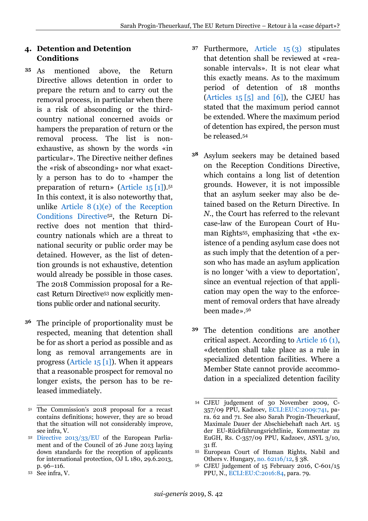## <span id="page-10-0"></span>**4. Detention and Detention Conditions**

- As mentioned above, the Return Directive allows detention in order to prepare the return and to carry out the removal process, in particular when there is a risk of absconding or the thirdcountry national concerned avoids or hampers the preparation of return or the removal process. The list is nonexhaustive, as shown by the words «in particular». The Directive neither defines the «risk of absconding» nor what exactly a person has to do to «hamper the preparation of return» [\(Article 15](http://perma.cc/V5T3-7ELG) [1]). 51 In this context, it is also noteworthy that, unlike Article  $8(1)(e)$  of the Reception [Conditions Directive](https://perma.cc/3AJ5-K49D)52, the Return Directive does not mention that thirdcountry nationals which are a threat to national security or public order may be detained. However, as the list of detention grounds is not exhaustive, detention would already be possible in those cases. The 2018 Commission proposal for a Recast Return Directive<sup>53</sup> now explicitly mentions public order and national security. **35**
- The principle of proportionality must be **36** respected, meaning that detention shall be for as short a period as possible and as long as removal arrangements are in progress (Article  $15 \overline{1}$ ). When it appears that a reasonable prospect for removal no longer exists, the person has to be released immediately.
- Furthermore, [Article 15](http://perma.cc/V5T3-7ELG) (3) stipulates **37** that detention shall be reviewed at «reasonable intervals». It is not clear what this exactly means. As to the maximum period of detention of 18 months (Articles  $15 \overline{5}$  and  $\overline{6}$ ), the CJEU has stated that the maximum period cannot be extended. Where the maximum period of detention has expired, the person must be released.<sup>54</sup>
- Asylum seekers may be detained based **38** on the Reception Conditions Directive, which contains a long list of detention grounds. However, it is not impossible that an asylum seeker may also be detained based on the Return Directive. In *N.*, the Court has referred to the relevant case-law of the European Court of Human Rights55, emphasizing that «the existence of a pending asylum case does not as such imply that the detention of a person who has made an asylum application is no longer 'with a view to deportation', since an eventual rejection of that application may open the way to the enforcement of removal orders that have already been made». 56
- The detention conditions are another **39**critical aspect. According to [Article 16](http://perma.cc/V5T3-7ELG) (1), «detention shall take place as a rule in specialized detention facilities. Where a Member State cannot provide accommodation in a specialized detention facility

\_\_\_\_\_\_\_\_\_\_\_\_\_\_\_\_\_\_\_\_\_\_\_\_\_\_\_\_ <sup>51</sup> The Commission's 2018 proposal for a recast contains definitions; however, they are so broad that the situation will not considerably improve, see infra, V.

<sup>52</sup> [Directive 2013/33/EU](https://perma.cc/W3U6-WEGX) of the European Parliament and of the Council of 26 June 2013 laying down standards for the reception of applicants for international protection, OJ L 180, 29.6.2013, p. 96–116.

<sup>53</sup> See infra, V.

\_\_\_\_\_\_\_\_\_\_\_\_\_\_\_\_\_\_\_\_\_\_\_\_\_\_\_\_ <sup>54</sup> CJEU judgement of 30 November 2009, C-357/09 PPU, Kadzoev, [ECLI:EU:C:2009:741,](https://perma.cc/6EXB-QJZD) para. 62 and 71. See also Sarah Progin-Theuerkauf, Maximale Dauer der Abschiebehaft nach Art. 15 der EU-Rückführungsrichtlinie, Kommentar zu EuGH, Rs. C-357/09 PPU, Kadzoev, ASYL 3/10, 31 ff.

<sup>55</sup> European Court of Human Rights, Nabil and Others v. Hungary, [no. 62116/12,](https://perma.cc/836A-R6E9) § 38.

<sup>56</sup> CJEU judgement of 15 February 2016, C-601/15 PPU, N., [ECLI:EU:C:2016:84,](https://perma.cc/U5YZ-TMKG) para. 79.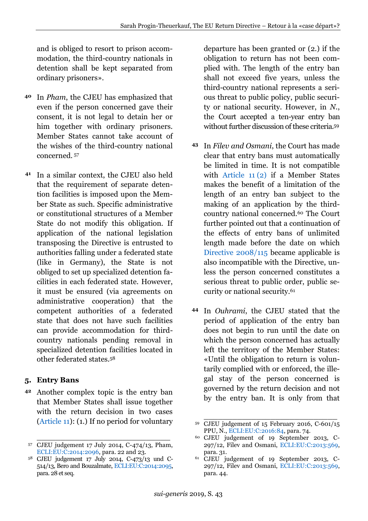and is obliged to resort to prison accommodation, the third-country nationals in detention shall be kept separated from ordinary prisoners».

- In *Pham*, the CJEU has emphasized that even if the person concerned gave their consent, it is not legal to detain her or him together with ordinary prisoners. Member States cannot take account of the wishes of the third-country national concerned. <sup>57</sup> **40**
- In a similar context, the CJEU also held that the requirement of separate detention facilities is imposed upon the Member State as such. Specific administrative or constitutional structures of a Member State do not modify this obligation. If application of the national legislation transposing the Directive is entrusted to authorities falling under a federated state (like in Germany), the State is not obliged to set up specialized detention facilities in each federated state. However, it must be ensured (via agreements on administrative cooperation) that the competent authorities of a federated state that does not have such facilities can provide accommodation for thirdcountry nationals pending removal in specialized detention facilities located in other federated states.<sup>58</sup> **41**

## <span id="page-11-0"></span>**5. Entry Bans**

Another complex topic is the entry ban **42** that Member States shall issue together with the return decision in two cases [\(Article 11\)](http://perma.cc/9BCD-CA6K): (1.) If no period for voluntary

departure has been granted or (2.) if the obligation to return has not been complied with. The length of the entry ban shall not exceed five years, unless the third-country national represents a serious threat to public policy, public security or national security. However, in *N.*, the Court accepted a ten-year entry ban without further discussion of these criteria.<sup>59</sup>

- In *Filev and Osmani*, the Court has made **43** clear that entry bans must automatically be limited in time. It is not compatible with [Article 11](http://perma.cc/9BCD-CA6K) (2) if a Member States makes the benefit of a limitation of the length of an entry ban subject to the making of an application by the thirdcountry national concerned.<sup>60</sup> The Court further pointed out that a continuation of the effects of entry bans of unlimited length made before the date on which [Directive 2008/115](https://perma.cc/N8XG-EX7G) became applicable is also incompatible with the Directive, unless the person concerned constitutes a serious threat to public order, public security or national security.<sup>61</sup>
- In *Ouhrami*, the CJEU stated that the **44**period of application of the entry ban does not begin to run until the date on which the person concerned has actually left the territory of the Member States: «Until the obligation to return is voluntarily complied with or enforced, the illegal stay of the person concerned is governed by the return decision and not by the entry ban. It is only from that

\_\_\_\_\_\_\_\_\_\_\_\_\_\_\_\_\_\_\_\_\_\_\_\_\_\_\_\_ <sup>57</sup> CJEU judgement 17 July 2014, C-474/13, Pham, [ECLI:EU:C:2014:2096,](https://perma.cc/A2XD-YPUT) para. 22 and 23.

<sup>58</sup> CJEU judgement 17 July 2014, C-473/13 und C-514/13, Bero and Bouzalmate[, ECLI:EU:C:2014:2095,](https://perma.cc/7DNP-544)  para. 28 et seq.

\_\_\_\_\_\_\_\_\_\_\_\_\_\_\_\_\_\_\_\_\_\_\_\_\_\_\_\_ <sup>59</sup> CJEU judgement of 15 February 2016, C-601/15 PPU, N., [ECLI:EU:C:2016:84,](https://perma.cc/U5YZ-TMKG) para. 74.

<sup>60</sup> CJEU judgement of 19 September 2013, C-297/12, Filev and Osmani, [ECLI:EU:C:2013:569,](https://perma.cc/7UBQ-35KY) para. 31.

<sup>61</sup> CJEU judgement of 19 September 2013, C-297/12, Filev and Osmani, [ECLI:EU:C:2013:569,](https://perma.cc/7UBQ-35KY) para. 44.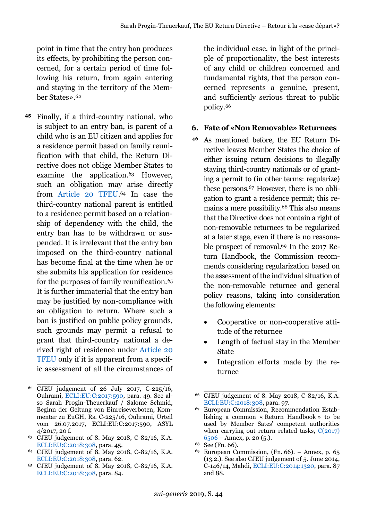point in time that the entry ban produces its effects, by prohibiting the person concerned, for a certain period of time following his return, from again entering and staying in the territory of the Member States». 62

Finally, if a third-country national, who **45** is subject to an entry ban, is parent of a child who is an EU citizen and applies for a residence permit based on family reunification with that child, the Return Directive does not oblige Member States to examine the application.<sup>63</sup> However, such an obligation may arise directly from [Article 20 TFEU.](https://perma.cc/87QT-UDER) <sup>64</sup> In case the third-country national parent is entitled to a residence permit based on a relationship of dependency with the child, the entry ban has to be withdrawn or suspended. It is irrelevant that the entry ban imposed on the third-country national has become final at the time when he or she submits his application for residence for the purposes of family reunification.<sup>65</sup> It is further immaterial that the entry ban may be justified by non-compliance with an obligation to return. Where such a ban is justified on public policy grounds, such grounds may permit a refusal to grant that third-country national a derived right of residence under [Article 20](https://perma.cc/87QT-UDER)  [TFEU](https://perma.cc/87QT-UDER) only if it is apparent from a specific assessment of all the circumstances of

- <sup>63</sup> CJEU judgement of 8. May 2018, C-82/16, K.A. [ECLI:EU:C:2018:308,](https://perma.cc/PU95-2FPD) para. 45.
- <sup>64</sup> CJEU judgement of 8. May 2018, C-82/16, K.A. [ECLI:EU:C:2018:308,](https://perma.cc/PU95-2FPD) para. 62.
- <sup>65</sup> CJEU judgement of 8. May 2018, C-82/16, K.A. [ECLI:EU:C:2018:308,](https://perma.cc/PU95-2FPD) para. 84.

the individual case, in light of the principle of proportionality, the best interests of any child or children concerned and fundamental rights, that the person concerned represents a genuine, present, and sufficiently serious threat to public policy.<sup>66</sup>

#### <span id="page-12-0"></span>**6. Fate of «Non Removable» Returnees**

- As mentioned before, the EU Return Directive leaves Member States the choice of either issuing return decisions to illegally staying third-country nationals or of granting a permit to (in other terms: regularize) these persons.<sup>67</sup> However, there is no obligation to grant a residence permit; this remains a mere possibility.<sup>68</sup> This also means that the Directive does not contain a right of non-removable returnees to be regularized at a later stage, even if there is no reasonable prospect of removal.<sup>69</sup> In the 2017 Return Handbook, the Commission recommends considering regularization based on the assessment of the individual situation of the non-removable returnee and general policy reasons, taking into consideration the following elements: **46**
	- Cooperative or non-cooperative attitude of the returnee
	- Length of factual stay in the Member State
	- Integration efforts made by the returnee

\_\_\_\_\_\_\_\_\_\_\_\_\_\_\_\_\_\_\_\_\_\_\_\_\_\_\_\_ <sup>62</sup> CJEU judgement of 26 July 2017, C-225/16, Ouhrami, [ECLI:EU:C:2017:590,](https://perma.cc/X7EC-LP4V) para. 49. See also Sarah Progin-Theuerkauf / Salome Schmid, Beginn der Geltung von Einreiseverboten, Kommentar zu EuGH, Rs. C-225/16, Ouhrami, Urteil vom 26.07.2017, ECLI:EU:C:2017:590, ASYL 4/2017, 20 f.

\_\_\_\_\_\_\_\_\_\_\_\_\_\_\_\_\_\_\_\_\_\_\_\_\_\_\_\_ <sup>66</sup> CJEU judgement of 8. May 2018, C-82/16, K.A. [ECLI:EU:C:2018:308,](https://perma.cc/PU95-2FPD) para. 97.

<sup>67</sup> European Commission, Recommendation Establishing a common « Return Handbook » to be used by Member Sates' competent authorities when carrying out return related tasks,  $C(2017)$  $6506 6506 -$ Annex, p. 20  $(5)$ .

<sup>68</sup> See (Fn. 66).

European Commission, (Fn. 66). – Annex, p. 65 (13.2.). See also CJEU judgement of 5. June 2014, C-146/14, Mahdi, [ECLI:EU:C:2014:1320,](https://perma.cc/6PEF-YR4C) para. 87 and 88.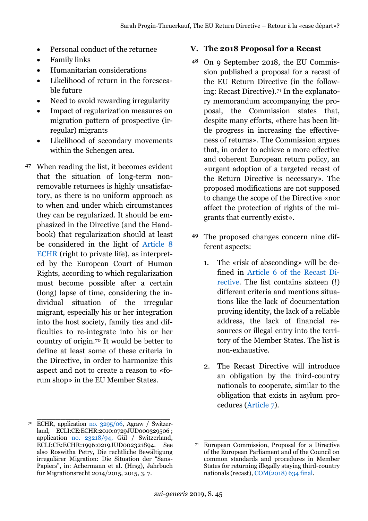- Personal conduct of the returnee
- Family links
- Humanitarian considerations
- Likelihood of return in the foreseeable future
- Need to avoid rewarding irregularity
- Impact of regularization measures on migration pattern of prospective (irregular) migrants
- Likelihood of secondary movements within the Schengen area.
- When reading the list, it becomes evident **47** that the situation of long-term nonremovable returnees is highly unsatisfactory, as there is no uniform approach as to when and under which circumstances they can be regularized. It should be emphasized in the Directive (and the Handbook) that regularization should at least be considered in the light of [Article 8](https://perma.cc/43N4-NUEZ)  [ECHR](https://perma.cc/43N4-NUEZ) (right to private life), as interpreted by the European Court of Human Rights, according to which regularization must become possible after a certain (long) lapse of time, considering the individual situation of the irregular migrant, especially his or her integration into the host society, family ties and difficulties to re-integrate into his or her country of origin.<sup>70</sup> It would be better to define at least some of these criteria in the Directive, in order to harmonize this aspect and not to create a reason to «forum shop» in the EU Member States.

\_\_\_\_\_\_\_\_\_\_\_\_\_\_\_\_\_\_\_\_\_\_\_\_\_\_\_\_

#### <span id="page-13-0"></span>**V. The 2018 Proposal for a Recast**

- On 9 September 2018, the EU Commis-**48** sion published a proposal for a recast of the EU Return Directive (in the following: Recast Directive).<sup>71</sup> In the explanatory memorandum accompanying the proposal, the Commission states that, despite many efforts, «there has been little progress in increasing the effectiveness of returns». The Commission argues that, in order to achieve a more effective and coherent European return policy, an «urgent adoption of a targeted recast of the Return Directive is necessary». The proposed modifications are not supposed to change the scope of the Directive «nor affect the protection of rights of the migrants that currently exist».
- The proposed changes concern nine dif-**49**ferent aspects:
	- 1. The «risk of absconding» will be defined in [Article 6 of the Recast Di](https://perma.cc/7PZB-5PDU)[rective.](https://perma.cc/7PZB-5PDU) The list contains sixteen (!) different criteria and mentions situations like the lack of documentation proving identity, the lack of a reliable address, the lack of financial resources or illegal entry into the territory of the Member States. The list is non-exhaustive.
	- 2. The Recast Directive will introduce an obligation by the third-country nationals to cooperate, similar to the obligation that exists in asylum procedures [\(Article 7\)](https://perma.cc/7PZB-5PDU).

<sup>70</sup> ECHR, application [no. 3295/06,](https://perma.cc/XKJ9-Q9FF) Agraw / Switzerland, ECLI:CE:ECHR:2010:0729JUD000329506 ; application [no. 23218/94,](https://perma.cc/J8KV-SEPJ) Gül / Switzerland, ECLI:CE:ECHR:1996:0219JUD002321894. See also Roswitha Petry, Die rechtliche Bewältigung irregulärer Migration: Die Situation der "Sans-Papiers", in: Achermann et al. (Hrsg), Jahrbuch für Migrationsrecht 2014/2015, 2015, 3, 7.

\_\_\_\_\_\_\_\_\_\_\_\_\_\_\_\_\_\_\_\_\_\_\_\_\_\_\_\_ <sup>71</sup> European Commission, Proposal for a Directive of the European Parliament and of the Council on common standards and procedures in Member States for returning illegally staying third-country nationals (recast), [COM\(2018\) 634 final.](https://perma.cc/LA5Y-7WPX)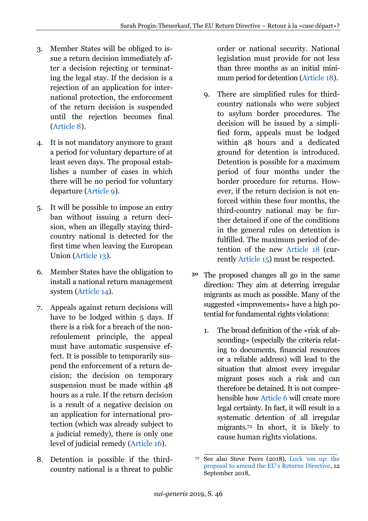- 3. Member States will be obliged to issue a return decision immediately after a decision rejecting or terminating the legal stay. If the decision is a rejection of an application for international protection, the enforcement of the return decision is suspended until the rejection becomes final [\(Article 8\)](https://perma.cc/M5NB-2QJK).
- 4. It is not mandatory anymore to grant a period for voluntary departure of at least seven days. The proposal establishes a number of cases in which there will be no period for voluntary departure [\(Article 9\)](https://perma.cc/6EHU-THW4).
- 5. It will be possible to impose an entry ban without issuing a return decision, when an illegally staying thirdcountry national is detected for the first time when leaving the European Union [\(Article 13\)](https://perma.cc/96BE-N84H).
- 6. Member States have the obligation to install a national return management system [\(Article 14\)](https://perma.cc/2DB2-RFYF).
- 7. Appeals against return decisions will have to be lodged within 5 days. If there is a risk for a breach of the nonrefoulement principle, the appeal must have automatic suspensive effect. It is possible to temporarily suspend the enforcement of a return decision; the decision on temporary suspension must be made within 48 hours as a rule. If the return decision is a result of a negative decision on an application for international protection (which was already subject to a judicial remedy), there is only one level of judicial remedy [\(Article 16\)](https://perma.cc/4KWJ-GAVY).
- 8. Detention is possible if the thirdcountry national is a threat to public

order or national security. National legislation must provide for not less than three months as an initial minimum period for detention [\(Article 18\)](https://perma.cc/8GJM-3JWD).

- 9. There are simplified rules for thirdcountry nationals who were subject to asylum border procedures. The decision will be issued by a simplified form, appeals must be lodged within 48 hours and a dedicated ground for detention is introduced. Detention is possible for a maximum period of four months under the border procedure for returns. However, if the return decision is not enforced within these four months, the third-country national may be further detained if one of the conditions in the general rules on detention is fulfilled. The maximum period of detention of the new [Article 18](https://perma.cc/8GJM-3JWD) (currently [Article 15\)](https://perma.cc/CZ7T-U35P) must be respected.
- The proposed changes all go in the same **50**direction: They aim at deterring irregular migrants as much as possible. Many of the suggested «improvements» have a high potential for fundamental rights violations:
	- 1. The broad definition of the «risk of absconding» (especially the criteria relating to documents, financial resources or a reliable address) will lead to the situation that almost every irregular migrant poses such a risk and can therefore be detained. It is not comprehensible how [Article 6](https://perma.cc/7PZB-5PDU) will create more legal certainty. In fact, it will result in a systematic detention of all irregular migrants.<sup>72</sup> In short, it is likely to cause human rights violations.

\_\_\_\_\_\_\_\_\_\_\_\_\_\_\_\_\_\_\_\_\_\_\_\_\_\_\_\_ <sup>72</sup> See also Steve Peers (2018), [Lock 'em up: the](https://perma.cc/QZ53-VREM)  [proposal to amend the EU's Returns Directive](https://perma.cc/QZ53-VREM), 12 September 2018,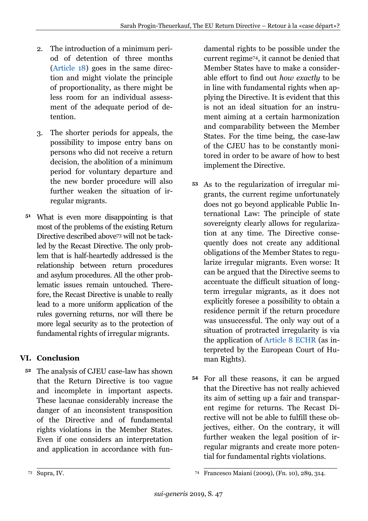- 2. The introduction of a minimum period of detention of three months [\(Article 18\)](https://perma.cc/8GJM-3JWD) goes in the same direction and might violate the principle of proportionality, as there might be less room for an individual assessment of the adequate period of detention.
- 3. The shorter periods for appeals, the possibility to impose entry bans on persons who did not receive a return decision, the abolition of a minimum period for voluntary departure and the new border procedure will also further weaken the situation of irregular migrants.
- What is even more disappointing is that **51** most of the problems of the existing Return Directive described above<sup>73</sup> will not be tackled by the Recast Directive. The only problem that is half-heartedly addressed is the relationship between return procedures and asylum procedures. All the other problematic issues remain untouched. Therefore, the Recast Directive is unable to really lead to a more uniform application of the rules governing returns, nor will there be more legal security as to the protection of fundamental rights of irregular migrants.

# <span id="page-15-0"></span>**VI. Conclusion**

The analysis of CJEU case-law has shown **52** that the Return Directive is too vague and incomplete in important aspects. These lacunae considerably increase the danger of an inconsistent transposition of the Directive and of fundamental rights violations in the Member States. Even if one considers an interpretation and application in accordance with fundamental rights to be possible under the current regime74, it cannot be denied that Member States have to make a considerable effort to find out *how exactly* to be in line with fundamental rights when applying the Directive. It is evident that this is not an ideal situation for an instrument aiming at a certain harmonization and comparability between the Member States. For the time being, the case-law of the CJEU has to be constantly monitored in order to be aware of how to best implement the Directive.

- As to the regularization of irregular mi-**53** grants, the current regime unfortunately does not go beyond applicable Public International Law: The principle of state sovereignty clearly allows for regularization at any time. The Directive consequently does not create any additional obligations of the Member States to regularize irregular migrants. Even worse: It can be argued that the Directive seems to accentuate the difficult situation of longterm irregular migrants, as it does not explicitly foresee a possibility to obtain a residence permit if the return procedure was unsuccessful. The only way out of a situation of protracted irregularity is via the application of [Article 8 ECHR](https://perma.cc/43N4-NUEZ) (as interpreted by the European Court of Human Rights).
- For all these reasons, it can be argued **54**that the Directive has not really achieved its aim of setting up a fair and transparent regime for returns. The Recast Directive will not be able to fulfill these objectives, either. On the contrary, it will further weaken the legal position of irregular migrants and create more potential for fundamental rights violations.

\_\_\_\_\_\_\_\_\_\_\_\_\_\_\_\_\_\_\_\_\_\_\_\_\_\_\_\_ <sup>73</sup> Supra, IV.

\_\_\_\_\_\_\_\_\_\_\_\_\_\_\_\_\_\_\_\_\_\_\_\_\_\_\_\_ <sup>74</sup> Francesco Maiani (2009), (Fn. 10), 289, 314.